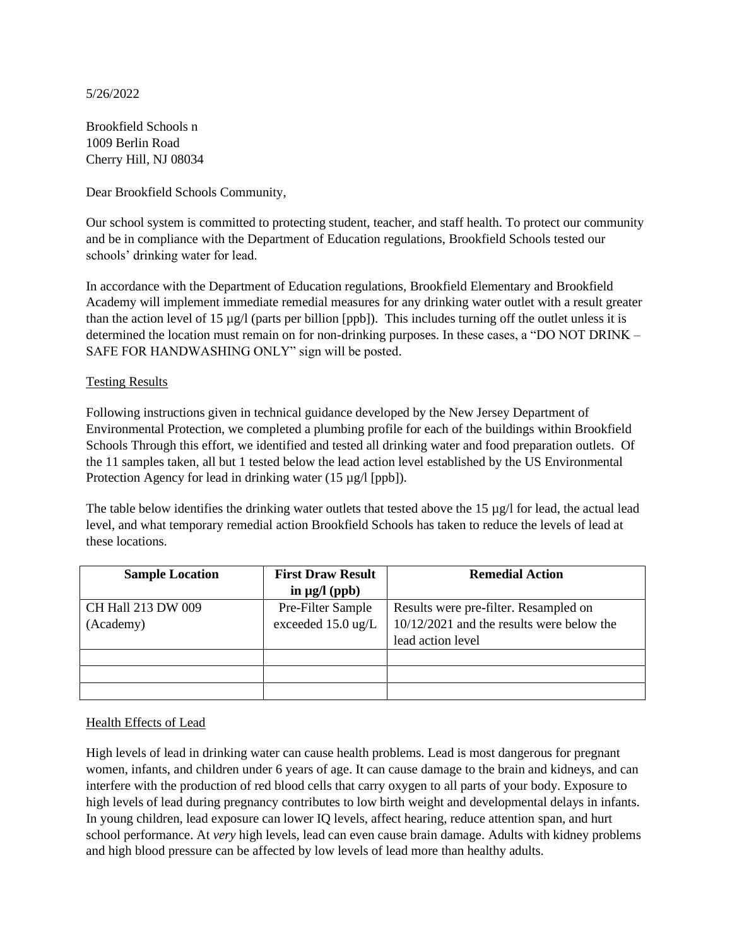### 5/26/2022

Brookfield Schools n 1009 Berlin Road Cherry Hill, NJ 08034

Dear Brookfield Schools Community,

Our school system is committed to protecting student, teacher, and staff health. To protect our community and be in compliance with the Department of Education regulations, Brookfield Schools tested our schools' drinking water for lead.

In accordance with the Department of Education regulations, Brookfield Elementary and Brookfield Academy will implement immediate remedial measures for any drinking water outlet with a result greater than the action level of 15 µg/l (parts per billion [ppb]). This includes turning off the outlet unless it is determined the location must remain on for non-drinking purposes. In these cases, a "DO NOT DRINK – SAFE FOR HANDWASHING ONLY" sign will be posted.

# Testing Results

Following instructions given in technical guidance developed by the New Jersey Department of Environmental Protection, we completed a plumbing profile for each of the buildings within Brookfield Schools Through this effort, we identified and tested all drinking water and food preparation outlets. Of the 11 samples taken, all but 1 tested below the lead action level established by the US Environmental Protection Agency for lead in drinking water (15 µg/l [ppb]).

The table below identifies the drinking water outlets that tested above the 15  $\mu$ g/l for lead, the actual lead level, and what temporary remedial action Brookfield Schools has taken to reduce the levels of lead at these locations.

| <b>Sample Location</b> | <b>First Draw Result</b>     | <b>Remedial Action</b>                      |
|------------------------|------------------------------|---------------------------------------------|
|                        | in $\mu$ g/l (ppb)           |                                             |
| CH Hall 213 DW 009     | Pre-Filter Sample            | Results were pre-filter. Resampled on       |
| (Academy)              | exceeded $15.0 \text{ ug/L}$ | $10/12/2021$ and the results were below the |
|                        |                              | lead action level                           |
|                        |                              |                                             |
|                        |                              |                                             |
|                        |                              |                                             |

# Health Effects of Lead

High levels of lead in drinking water can cause health problems. Lead is most dangerous for pregnant women, infants, and children under 6 years of age. It can cause damage to the brain and kidneys, and can interfere with the production of red blood cells that carry oxygen to all parts of your body. Exposure to high levels of lead during pregnancy contributes to low birth weight and developmental delays in infants. In young children, lead exposure can lower IQ levels, affect hearing, reduce attention span, and hurt school performance. At *very* high levels, lead can even cause brain damage. Adults with kidney problems and high blood pressure can be affected by low levels of lead more than healthy adults.